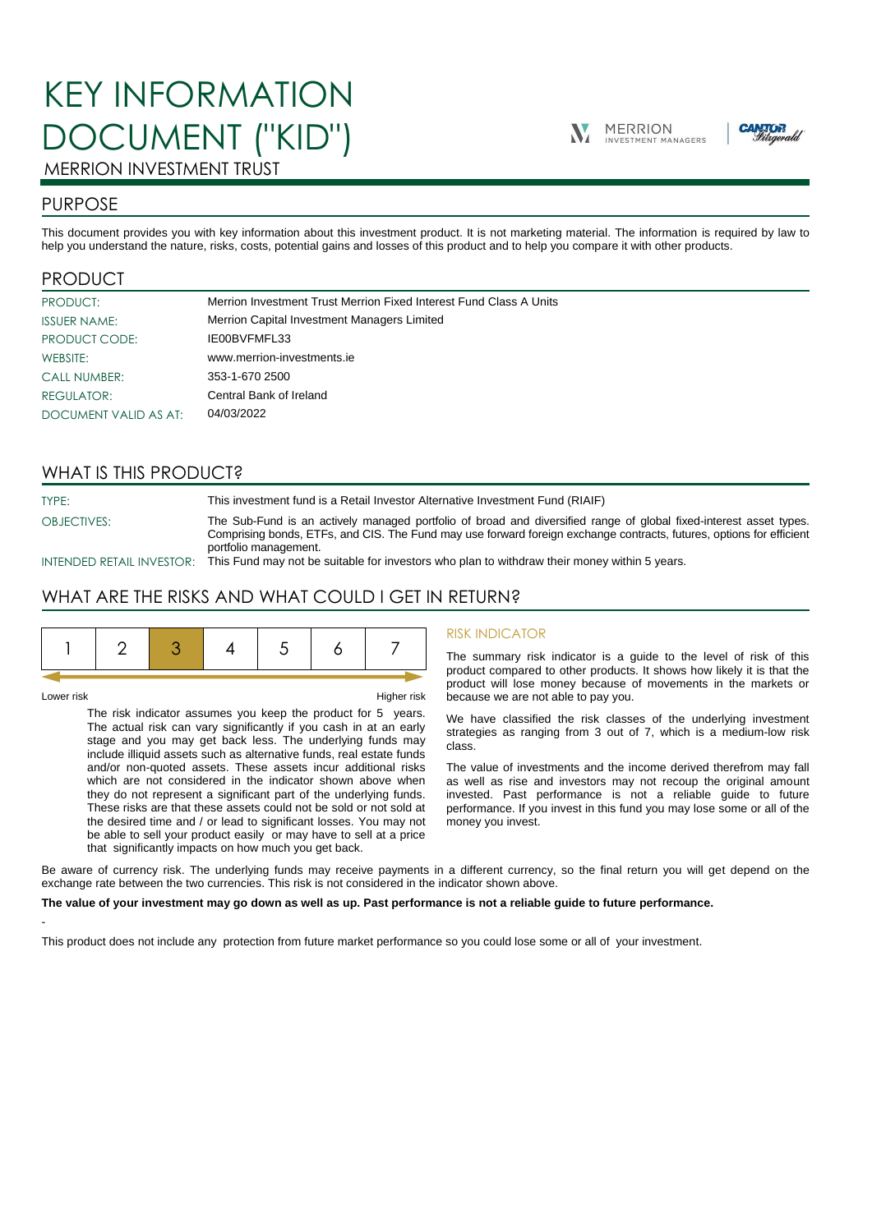# KEY INFORMATION DOCUMENT ("KID")





## MERRION INVESTMENT TRUST

## PURPOSE

This document provides you with key information about this investment product. It is not marketing material. The information is required by law to help you understand the nature, risks, costs, potential gains and losses of this product and to help you compare it with other products.

## PRODUCT

| PRODUCT:              | Merrion Investment Trust Merrion Fixed Interest Fund Class A Units |
|-----------------------|--------------------------------------------------------------------|
| <b>ISSUER NAME:</b>   | Merrion Capital Investment Managers Limited                        |
| PRODUCT CODE:         | IE00BVFMFL33                                                       |
| WEBSITE:              | www.merrion-investments.ie                                         |
| <b>CALL NUMBER:</b>   | 353-1-670 2500                                                     |
| <b>REGULATOR:</b>     | Central Bank of Ireland                                            |
| DOCUMENT VALID AS AT: | 04/03/2022                                                         |

## WHAT IS THIS PRODUCT?

TYPE: This investment fund is a Retail Investor Alternative Investment Fund (RIAIF) OBJECTIVES: The Sub-Fund is an actively managed portfolio of broad and diversified range of global fixed-interest asset types. Comprising bonds, ETFs, and CIS. The Fund may use forward foreign exchange contracts, futures, options for efficient portfolio management.

INTENDED RETAIL INVESTOR: This Fund may not be suitable for investors who plan to withdraw their money within 5 years.

## WHAT ARE THE RISKS AND WHAT COULD I GET IN RETURN?

|--|--|--|--|--|--|--|--|

-

Lower risk Higher risk

The risk indicator assumes you keep the product for 5 years. The actual risk can vary significantly if you cash in at an early stage and you may get back less. The underlying funds may include illiquid assets such as alternative funds, real estate funds and/or non-quoted assets. These assets incur additional risks which are not considered in the indicator shown above when they do not represent a significant part of the underlying funds. These risks are that these assets could not be sold or not sold at the desired time and / or lead to significant losses. You may not be able to sell your product easily or may have to sell at a price that significantly impacts on how much you get back.

#### RISK INDICATOR

The summary risk indicator is a guide to the level of risk of this product compared to other products. It shows how likely it is that the product will lose money because of movements in the markets or because we are not able to pay you.

We have classified the risk classes of the underlying investment strategies as ranging from 3 out of 7, which is a medium-low risk class.

The value of investments and the income derived therefrom may fall as well as rise and investors may not recoup the original amount invested. Past performance is not a reliable guide to future performance. If you invest in this fund you may lose some or all of the money you invest.

Be aware of currency risk. The underlying funds may receive payments in a different currency, so the final return you will get depend on the exchange rate between the two currencies. This risk is not considered in the indicator shown above.

#### **The value of your investment may go down as well as up. Past performance is not a reliable guide to future performance.**

This product does not include any protection from future market performance so you could lose some or all of your investment.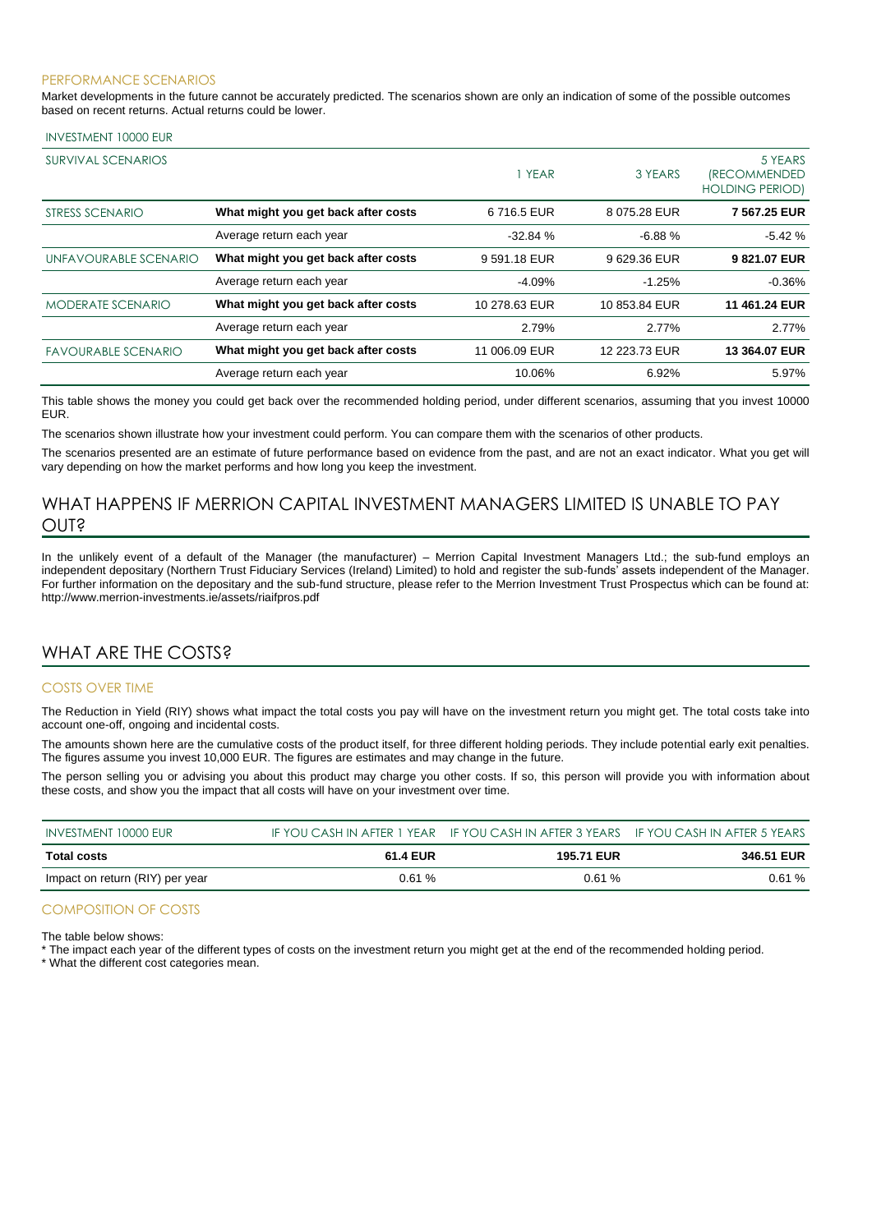#### PERFORMANCE SCENARIOS

Market developments in the future cannot be accurately predicted. The scenarios shown are only an indication of some of the possible outcomes based on recent returns. Actual returns could be lower.

#### INVESTMENT 10000 EUR

| SURVIVAL SCENARIOS         |                                     | 1 YEAR        | 3 YEARS       | 5 YEARS<br><i><b>IRECOMMENDED</b></i><br><b>HOLDING PERIOD)</b> |
|----------------------------|-------------------------------------|---------------|---------------|-----------------------------------------------------------------|
| STRESS SCENARIO            | What might you get back after costs | 6716.5 EUR    | 8 075.28 EUR  | 7 567.25 EUR                                                    |
|                            | Average return each year            | $-32.84%$     | $-6.88%$      | $-5.42%$                                                        |
| UNFAVOURABLE SCENARIO      | What might you get back after costs | 9591.18 EUR   | 9629.36 EUR   | 9821.07 EUR                                                     |
|                            | Average return each year            | $-4.09%$      | $-1.25%$      | $-0.36%$                                                        |
| <b>MODERATE SCENARIO</b>   | What might you get back after costs | 10 278.63 EUR | 10 853.84 EUR | 11 461.24 EUR                                                   |
|                            | Average return each year            | 2.79%         | 2.77%         | 2.77%                                                           |
| <b>FAVOURABLE SCENARIO</b> | What might you get back after costs | 11 006.09 EUR | 12 223.73 EUR | 13 364.07 EUR                                                   |
|                            | Average return each year            | 10.06%        | 6.92%         | 5.97%                                                           |

This table shows the money you could get back over the recommended holding period, under different scenarios, assuming that you invest 10000 EUR.

The scenarios shown illustrate how your investment could perform. You can compare them with the scenarios of other products.

The scenarios presented are an estimate of future performance based on evidence from the past, and are not an exact indicator. What you get will vary depending on how the market performs and how long you keep the investment.

## WHAT HAPPENS IF MERRION CAPITAL INVESTMENT MANAGERS LIMITED IS UNABLE TO PAY OUT?

In the unlikely event of a default of the Manager (the manufacturer) – Merrion Capital Investment Managers Ltd.; the sub-fund employs an independent depositary (Northern Trust Fiduciary Services (Ireland) Limited) to hold and register the sub-funds' assets independent of the Manager. For further information on the depositary and the sub-fund structure, please refer to the Merrion Investment Trust Prospectus which can be found at: http://www.merrion-investments.ie/assets/riaifpros.pdf

## WHAT ARE THE COSTS?

#### COSTS OVER TIME

The Reduction in Yield (RIY) shows what impact the total costs you pay will have on the investment return you might get. The total costs take into account one-off, ongoing and incidental costs.

The amounts shown here are the cumulative costs of the product itself, for three different holding periods. They include potential early exit penalties. The figures assume you invest 10,000 EUR. The figures are estimates and may change in the future.

The person selling you or advising you about this product may charge you other costs. If so, this person will provide you with information about these costs, and show you the impact that all costs will have on your investment over time.

| INVESTMENT 10000 EUR            |          | IF YOU CASH IN AFTER 1 YEAR IF YOU CASH IN AFTER 3 YEARS IF YOU CASH IN AFTER 5 YEARS |            |
|---------------------------------|----------|---------------------------------------------------------------------------------------|------------|
| Total costs                     | 61.4 EUR | <b>195.71 EUR</b>                                                                     | 346.51 EUR |
| Impact on return (RIY) per year | 0.61%    | 0.61%                                                                                 | 0.61%      |

#### COMPOSITION OF COSTS

The table below shows:

\* The impact each year of the different types of costs on the investment return you might get at the end of the recommended holding period.

\* What the different cost categories mean.